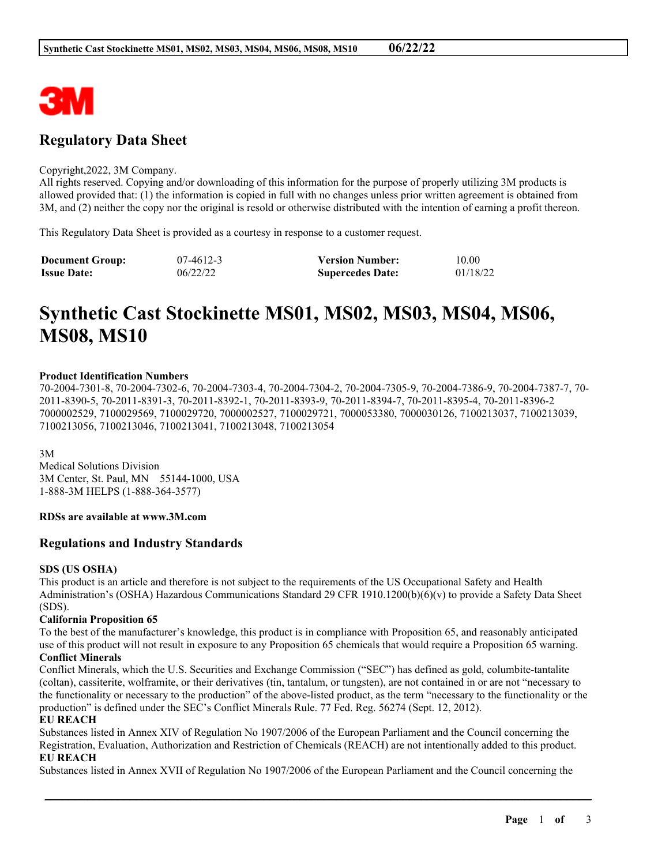

## **Regulatory Data Sheet**

#### Copyright,2022, 3M Company.

All rights reserved. Copying and/or downloading of this information for the purpose of properly utilizing 3M products is allowed provided that: (1) the information is copied in full with no changes unless prior written agreement is obtained from 3M, and (2) neither the copy nor the original is resold or otherwise distributed with the intention of earning a profit thereon.

This Regulatory Data Sheet is provided as a courtesy in response to a customer request.

| <b>Document Group:</b> | $07-4612-3$ | <b>Version Number:</b>  | 10.00    |
|------------------------|-------------|-------------------------|----------|
| <b>Issue Date:</b>     | 06/22/22    | <b>Supercedes Date:</b> | 01/18/22 |

# **Synthetic Cast Stockinette MS01, MS02, MS03, MS04, MS06, MS08, MS10**

#### **Product Identification Numbers**

70-2004-7301-8, 70-2004-7302-6, 70-2004-7303-4, 70-2004-7304-2, 70-2004-7305-9, 70-2004-7386-9, 70-2004-7387-7, 70- 2011-8390-5, 70-2011-8391-3, 70-2011-8392-1, 70-2011-8393-9, 70-2011-8394-7, 70-2011-8395-4, 70-2011-8396-2 7000002529, 7100029569, 7100029720, 7000002527, 7100029721, 7000053380, 7000030126, 7100213037, 7100213039, 7100213056, 7100213046, 7100213041, 7100213048, 7100213054

3M Medical Solutions Division 3M Center, St. Paul, MN 55144-1000, USA 1-888-3M HELPS (1-888-364-3577)

#### **RDSs are available at www.3M.com**

#### **Regulations and Industry Standards**

#### **SDS (US OSHA)**

This product is an article and therefore is not subject to the requirements of the US Occupational Safety and Health Administration's (OSHA) Hazardous Communications Standard 29 CFR 1910.1200(b)(6)(v) to provide a Safety Data Sheet (SDS).

#### **California Proposition 65**

To the best of the manufacturer's knowledge, this product is in compliance with Proposition 65, and reasonably anticipated use of this product will not result in exposure to any Proposition 65 chemicals that would require a Proposition 65 warning.

#### **Conflict Minerals**

Conflict Minerals, which the U.S. Securities and Exchange Commission ("SEC") has defined as gold, columbite-tantalite (coltan), cassiterite, wolframite, or their derivatives (tin, tantalum, or tungsten), are not contained in or are not "necessary to the functionality or necessary to the production" of the above-listed product, as the term "necessary to the functionality or the production" is defined under the SEC's Conflict Minerals Rule. 77 Fed. Reg. 56274 (Sept. 12, 2012).

#### **EU REACH**

Substances listed in Annex XIV of Regulation No 1907/2006 of the European Parliament and the Council concerning the Registration, Evaluation, Authorization and Restriction of Chemicals (REACH) are not intentionally added to this product. **EU REACH**

Substances listed in Annex XVII of Regulation No 1907/2006 of the European Parliament and the Council concerning the

\_\_\_\_\_\_\_\_\_\_\_\_\_\_\_\_\_\_\_\_\_\_\_\_\_\_\_\_\_\_\_\_\_\_\_\_\_\_\_\_\_\_\_\_\_\_\_\_\_\_\_\_\_\_\_\_\_\_\_\_\_\_\_\_\_\_\_\_\_\_\_\_\_\_\_\_\_\_\_\_\_\_\_\_\_\_\_\_\_\_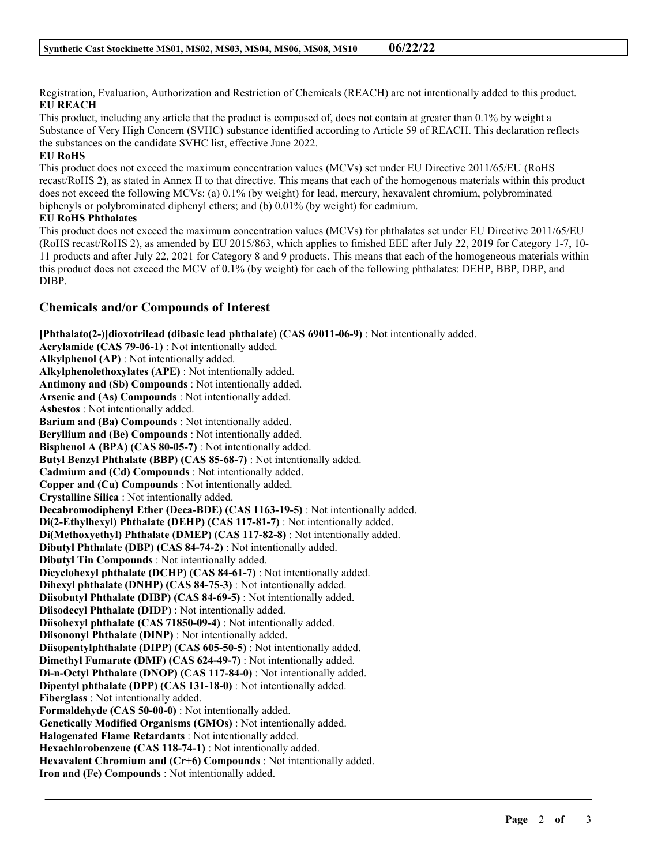Registration, Evaluation, Authorization and Restriction of Chemicals (REACH) are not intentionally added to this product. **EU REACH**

This product, including any article that the product is composed of, does not contain at greater than 0.1% by weight a Substance of Very High Concern (SVHC) substance identified according to Article 59 of REACH. This declaration reflects the substances on the candidate SVHC list, effective June 2022.

### **EU RoHS**

This product does not exceed the maximum concentration values (MCVs) set under EU Directive 2011/65/EU (RoHS recast/RoHS 2), as stated in Annex II to that directive. This means that each of the homogenous materials within this product does not exceed the following MCVs: (a) 0.1% (by weight) for lead, mercury, hexavalent chromium, polybrominated biphenyls or polybrominated diphenyl ethers; and (b) 0.01% (by weight) for cadmium.

## **EU RoHS Phthalates**

This product does not exceed the maximum concentration values (MCVs) for phthalates set under EU Directive 2011/65/EU (RoHS recast/RoHS 2), as amended by EU 2015/863, which applies to finished EEE after July 22, 2019 for Category 1-7, 10- 11 products and after July 22, 2021 for Category 8 and 9 products. This means that each of the homogeneous materials within this product does not exceed the MCV of 0.1% (by weight) for each of the following phthalates: DEHP, BBP, DBP, and DIBP.

## **Chemicals and/or Compounds of Interest**

**[Phthalato(2-)]dioxotrilead (dibasic lead phthalate) (CAS 69011-06-9)** : Not intentionally added. **Acrylamide (CAS 79-06-1)** : Not intentionally added. **Alkylphenol (AP)** : Not intentionally added. **Alkylphenolethoxylates (APE)** : Not intentionally added. **Antimony and (Sb) Compounds** : Not intentionally added. **Arsenic and (As) Compounds** : Not intentionally added. **Asbestos** : Not intentionally added. **Barium and (Ba) Compounds** : Not intentionally added. **Beryllium and (Be) Compounds** : Not intentionally added. **Bisphenol A (BPA) (CAS 80-05-7)** : Not intentionally added. **Butyl Benzyl Phthalate (BBP) (CAS 85-68-7)** : Not intentionally added. **Cadmium and (Cd) Compounds** : Not intentionally added. **Copper and (Cu) Compounds** : Not intentionally added. **Crystalline Silica** : Not intentionally added. **Decabromodiphenyl Ether (Deca-BDE) (CAS 1163-19-5)** : Not intentionally added. **Di(2-Ethylhexyl) Phthalate (DEHP) (CAS 117-81-7)** : Not intentionally added. **Di(Methoxyethyl) Phthalate (DMEP) (CAS 117-82-8)** : Not intentionally added. **Dibutyl Phthalate (DBP) (CAS 84-74-2)** : Not intentionally added. **Dibutyl Tin Compounds** : Not intentionally added. **Dicyclohexyl phthalate (DCHP) (CAS 84-61-7)** : Not intentionally added. **Dihexyl phthalate (DNHP) (CAS 84-75-3)** : Not intentionally added. **Diisobutyl Phthalate (DIBP) (CAS 84-69-5)** : Not intentionally added. **Diisodecyl Phthalate (DIDP)** : Not intentionally added. **Diisohexyl phthalate (CAS 71850-09-4)** : Not intentionally added. **Diisononyl Phthalate (DINP)** : Not intentionally added. **Diisopentylphthalate (DIPP) (CAS 605-50-5)** : Not intentionally added. **Dimethyl Fumarate (DMF) (CAS 624-49-7)** : Not intentionally added. **Di-n-Octyl Phthalate (DNOP) (CAS 117-84-0)** : Not intentionally added. **Dipentyl phthalate (DPP) (CAS 131-18-0)** : Not intentionally added. **Fiberglass** : Not intentionally added. **Formaldehyde (CAS 50-00-0)** : Not intentionally added. **Genetically Modified Organisms (GMOs)** : Not intentionally added. **Halogenated Flame Retardants** : Not intentionally added. **Hexachlorobenzene (CAS 118-74-1)** : Not intentionally added. **Hexavalent Chromium and (Cr+6) Compounds** : Not intentionally added. **Iron and (Fe) Compounds** : Not intentionally added.

\_\_\_\_\_\_\_\_\_\_\_\_\_\_\_\_\_\_\_\_\_\_\_\_\_\_\_\_\_\_\_\_\_\_\_\_\_\_\_\_\_\_\_\_\_\_\_\_\_\_\_\_\_\_\_\_\_\_\_\_\_\_\_\_\_\_\_\_\_\_\_\_\_\_\_\_\_\_\_\_\_\_\_\_\_\_\_\_\_\_